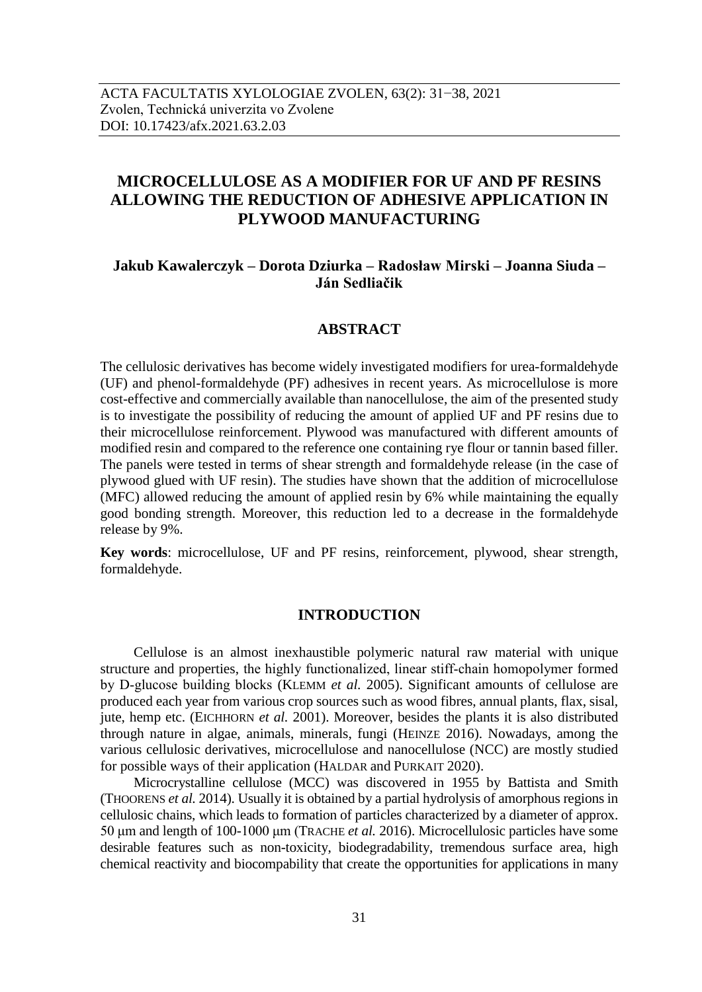# **MICROCELLULOSE AS A MODIFIER FOR UF AND PF RESINS ALLOWING THE REDUCTION OF ADHESIVE APPLICATION IN PLYWOOD MANUFACTURING**

## **Jakub Kawalerczyk – Dorota Dziurka – Radosław Mirski – Joanna Siuda – Ján Sedliačik**

## **ABSTRACT**

The cellulosic derivatives has become widely investigated modifiers for urea-formaldehyde (UF) and phenol-formaldehyde (PF) adhesives in recent years. As microcellulose is more cost-effective and commercially available than nanocellulose, the aim of the presented study is to investigate the possibility of reducing the amount of applied UF and PF resins due to their microcellulose reinforcement. Plywood was manufactured with different amounts of modified resin and compared to the reference one containing rye flour or tannin based filler. The panels were tested in terms of shear strength and formaldehyde release (in the case of plywood glued with UF resin). The studies have shown that the addition of microcellulose (MFC) allowed reducing the amount of applied resin by 6% while maintaining the equally good bonding strength. Moreover, this reduction led to a decrease in the formaldehyde release by 9%.

**Key words**: microcellulose, UF and PF resins, reinforcement, plywood, shear strength, formaldehyde.

## **INTRODUCTION**

Cellulose is an almost inexhaustible polymeric natural raw material with unique structure and properties, the highly functionalized, linear stiff-chain homopolymer formed by D-glucose building blocks (KLEMM *et al.* 2005). Significant amounts of cellulose are produced each year from various crop sources such as wood fibres, annual plants, flax, sisal, jute, hemp etc. (EICHHORN *et al.* 2001). Moreover, besides the plants it is also distributed through nature in algae, animals, minerals, fungi (HEINZE 2016). Nowadays, among the various cellulosic derivatives, microcellulose and nanocellulose (NCC) are mostly studied for possible ways of their application (HALDAR and PURKAIT 2020).

Microcrystalline cellulose (MCC) was discovered in 1955 by Battista and Smith (THOORENS *et al.* 2014). Usually it is obtained by a partial hydrolysis of amorphous regions in cellulosic chains, which leads to formation of particles characterized by a diameter of approx. 50 μm and length of 100-1000 μm (TRACHE *et al.* 2016). Microcellulosic particles have some desirable features such as non-toxicity, biodegradability, tremendous surface area, high chemical reactivity and biocompability that create the opportunities for applications in many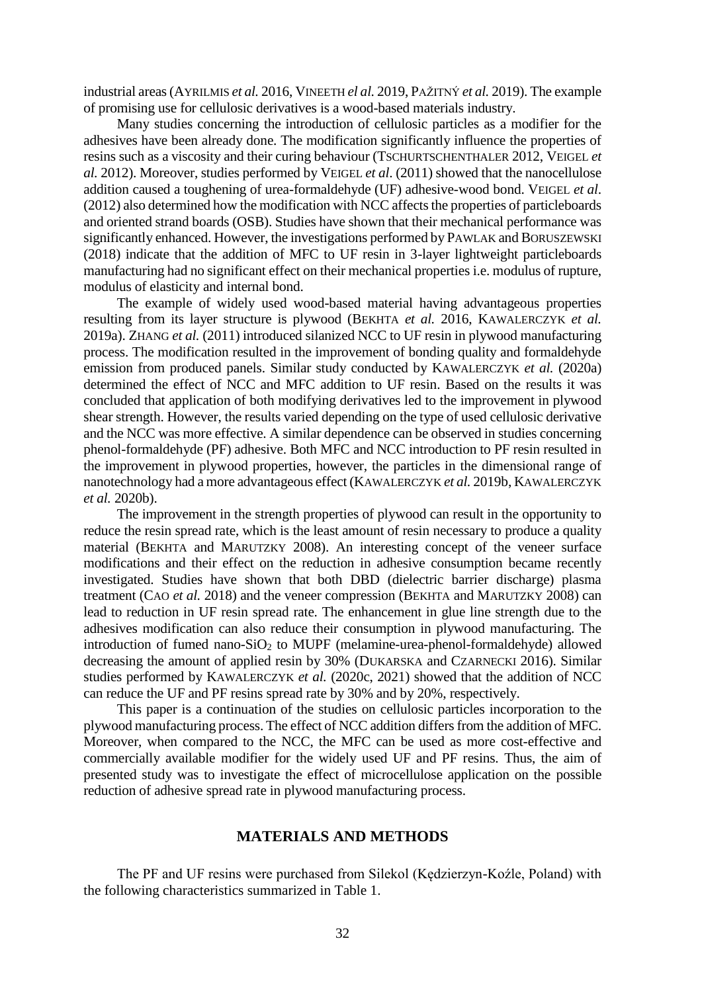industrial areas(AYRILMIS *et al.* 2016, VINEETH *el al.* 2019, PAŽITNÝ *et al.* 2019). The example of promising use for cellulosic derivatives is a wood-based materials industry.

Many studies concerning the introduction of cellulosic particles as a modifier for the adhesives have been already done. The modification significantly influence the properties of resins such as a viscosity and their curing behaviour (TSCHURTSCHENTHALER 2012, VEIGEL *et al.* 2012). Moreover, studies performed by VEIGEL *et al*. (2011) showed that the nanocellulose addition caused a toughening of urea-formaldehyde (UF) adhesive-wood bond. VEIGEL *et al*. (2012) also determined how the modification with NCC affects the properties of particleboards and oriented strand boards (OSB). Studies have shown that their mechanical performance was significantly enhanced. However, the investigations performed by PAWLAK and BORUSZEWSKI (2018) indicate that the addition of MFC to UF resin in 3-layer lightweight particleboards manufacturing had no significant effect on their mechanical properties i.e. modulus of rupture, modulus of elasticity and internal bond.

The example of widely used wood-based material having advantageous properties resulting from its layer structure is plywood (BEKHTA *et al.* 2016, KAWALERCZYK *et al.* 2019a). ZHANG *et al.* (2011) introduced silanized NCC to UF resin in plywood manufacturing process. The modification resulted in the improvement of bonding quality and formaldehyde emission from produced panels. Similar study conducted by KAWALERCZYK *et al.* (2020a) determined the effect of NCC and MFC addition to UF resin. Based on the results it was concluded that application of both modifying derivatives led to the improvement in plywood shear strength. However, the results varied depending on the type of used cellulosic derivative and the NCC was more effective. A similar dependence can be observed in studies concerning phenol-formaldehyde (PF) adhesive. Both MFC and NCC introduction to PF resin resulted in the improvement in plywood properties, however, the particles in the dimensional range of nanotechnology had a more advantageous effect (KAWALERCZYK *et al.* 2019b, KAWALERCZYK *et al.* 2020b).

The improvement in the strength properties of plywood can result in the opportunity to reduce the resin spread rate, which is the least amount of resin necessary to produce a quality material (BEKHTA and MARUTZKY 2008). An interesting concept of the veneer surface modifications and their effect on the reduction in adhesive consumption became recently investigated. Studies have shown that both DBD (dielectric barrier discharge) plasma treatment (CAO *et al.* 2018) and the veneer compression (BEKHTA and MARUTZKY 2008) can lead to reduction in UF resin spread rate. The enhancement in glue line strength due to the adhesives modification can also reduce their consumption in plywood manufacturing. The introduction of fumed nano-SiO<sup>2</sup> to MUPF (melamine-urea-phenol-formaldehyde) allowed decreasing the amount of applied resin by 30% (DUKARSKA and CZARNECKI 2016). Similar studies performed by KAWALERCZYK *et al.* (2020c, 2021) showed that the addition of NCC can reduce the UF and PF resins spread rate by 30% and by 20%, respectively.

This paper is a continuation of the studies on cellulosic particles incorporation to the plywood manufacturing process. The effect of NCC addition differs from the addition of MFC. Moreover, when compared to the NCC, the MFC can be used as more cost-effective and commercially available modifier for the widely used UF and PF resins. Thus, the aim of presented study was to investigate the effect of microcellulose application on the possible reduction of adhesive spread rate in plywood manufacturing process.

## **MATERIALS AND METHODS**

The PF and UF resins were purchased from Silekol (Kędzierzyn-Koźle, Poland) with the following characteristics summarized in Table 1.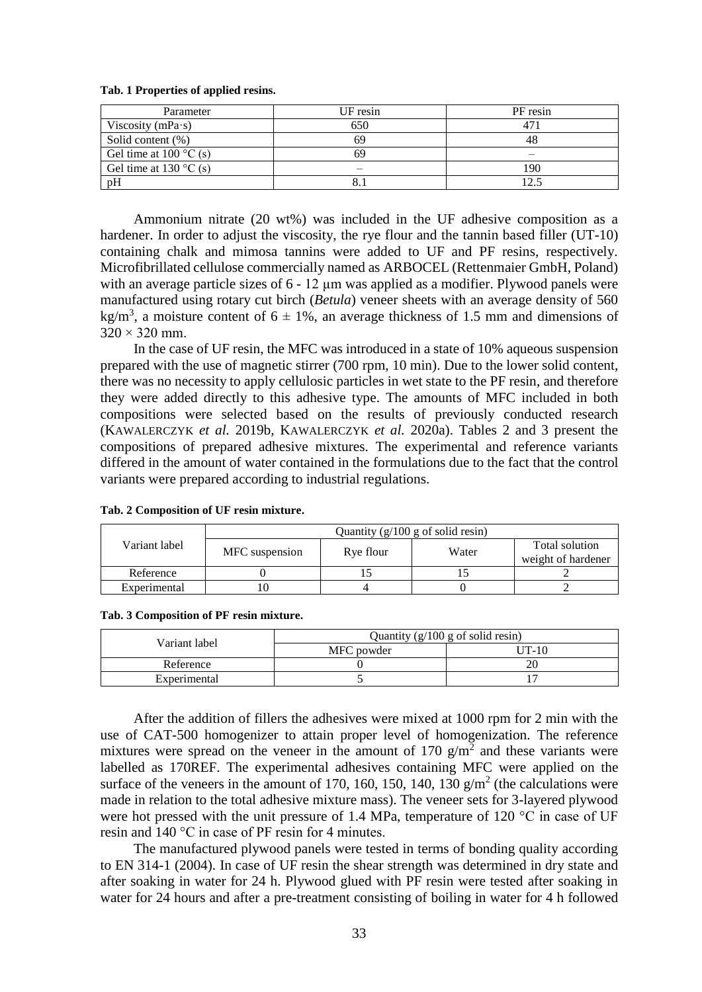| Parameter                            | UF resin | PF resin |
|--------------------------------------|----------|----------|
| Viscosity ( $mPa·s$ )                | 650      | 47       |
| Solid content (%)                    | 69       | 48       |
| Gel time at $100^{\circ}$ C (s)      |          |          |
| Gel time at 130 $\rm{^{\circ}C}$ (s) |          | 190      |
| pH                                   |          |          |

#### **Tab. 1 Properties of applied resins.**

Ammonium nitrate (20 wt%) was included in the UF adhesive composition as a hardener. In order to adjust the viscosity, the rye flour and the tannin based filler (UT-10) containing chalk and mimosa tannins were added to UF and PF resins, respectively. Microfibrillated cellulose commercially named as ARBOCEL (Rettenmaier GmbH, Poland) with an average particle sizes of 6 - 12  $\mu$ m was applied as a modifier. Plywood panels were manufactured using rotary cut birch (*Betula*) veneer sheets with an average density of 560 kg/m<sup>3</sup>, a moisture content of  $6 \pm 1\%$ , an average thickness of 1.5 mm and dimensions of  $320 \times 320$  mm.

In the case of UF resin, the MFC was introduced in a state of 10% aqueous suspension prepared with the use of magnetic stirrer (700 rpm, 10 min). Due to the lower solid content, there was no necessity to apply cellulosic particles in wet state to the PF resin, and therefore they were added directly to this adhesive type. The amounts of MFC included in both compositions were selected based on the results of previously conducted research (KAWALERCZYK *et al.* 2019b, KAWALERCZYK *et al.* 2020a). Tables 2 and 3 present the compositions of prepared adhesive mixtures. The experimental and reference variants differed in the amount of water contained in the formulations due to the fact that the control variants were prepared according to industrial regulations.

|               | Quantity $(g/100 g \text{ of solid resin})$ |           |       |                                      |
|---------------|---------------------------------------------|-----------|-------|--------------------------------------|
| Variant label | MFC suspension                              | Rve flour | Water | Total solution<br>weight of hardener |
| Reference     |                                             |           |       |                                      |
| Experimental  |                                             |           |       |                                      |

#### **Tab. 2 Composition of UF resin mixture.**

**Tab. 3 Composition of PF resin mixture.**

| Variant label | Quantity $(g/100 g \text{ of solid resin})$ |         |  |
|---------------|---------------------------------------------|---------|--|
|               | MFC powder                                  | $IT-10$ |  |
| Reference     |                                             |         |  |
| Experimental  |                                             |         |  |

After the addition of fillers the adhesives were mixed at 1000 rpm for 2 min with the use of CAT-500 homogenizer to attain proper level of homogenization. The reference mixtures were spread on the veneer in the amount of 170  $g/m<sup>2</sup>$  and these variants were labelled as 170REF. The experimental adhesives containing MFC were applied on the surface of the veneers in the amount of 170, 160, 150, 140, 130  $g/m^2$  (the calculations were made in relation to the total adhesive mixture mass). The veneer sets for 3-layered plywood were hot pressed with the unit pressure of 1.4 MPa, temperature of 120 °C in case of UF resin and 140 °C in case of PF resin for 4 minutes.

The manufactured plywood panels were tested in terms of bonding quality according to EN 314-1 (2004). In case of UF resin the shear strength was determined in dry state and after soaking in water for 24 h. Plywood glued with PF resin were tested after soaking in water for 24 hours and after a pre-treatment consisting of boiling in water for 4 h followed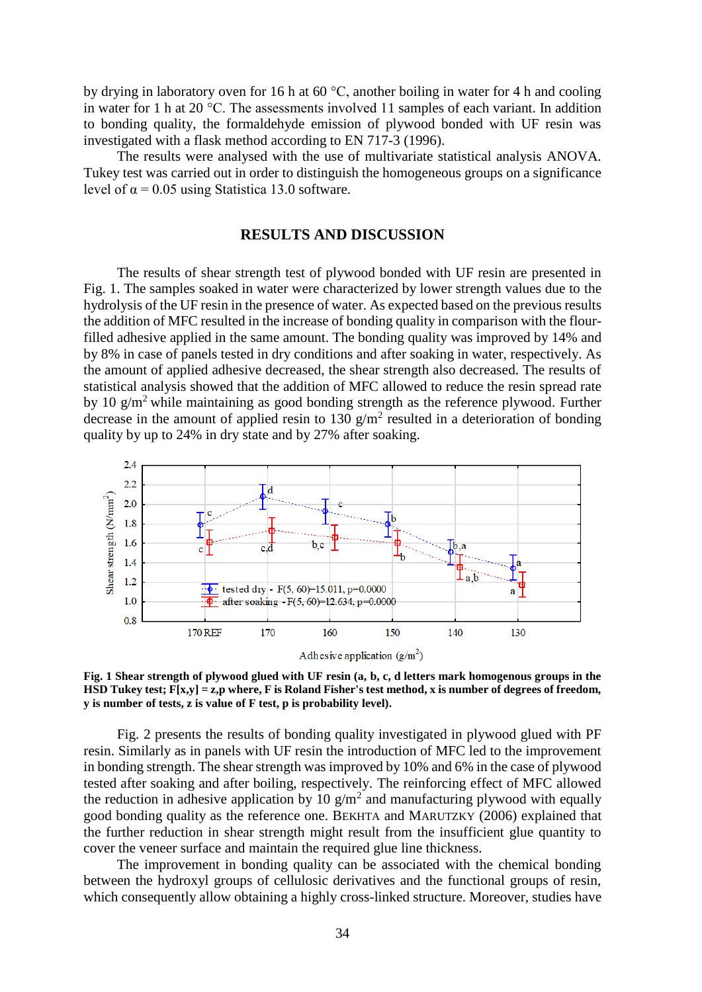by drying in laboratory oven for 16 h at 60 °C, another boiling in water for 4 h and cooling in water for 1 h at 20 °C. The assessments involved 11 samples of each variant. In addition to bonding quality, the formaldehyde emission of plywood bonded with UF resin was investigated with a flask method according to EN 717-3 (1996).

The results were analysed with the use of multivariate statistical analysis ANOVA. Tukey test was carried out in order to distinguish the homogeneous groups on a significance level of  $\alpha$  = 0.05 using Statistica 13.0 software.

### **RESULTS AND DISCUSSION**

The results of shear strength test of plywood bonded with UF resin are presented in Fig. 1. The samples soaked in water were characterized by lower strength values due to the hydrolysis of the UF resin in the presence of water. As expected based on the previous results the addition of MFC resulted in the increase of bonding quality in comparison with the flourfilled adhesive applied in the same amount. The bonding quality was improved by 14% and by 8% in case of panels tested in dry conditions and after soaking in water, respectively. As the amount of applied adhesive decreased, the shear strength also decreased. The results of statistical analysis showed that the addition of MFC allowed to reduce the resin spread rate by 10  $g/m^2$  while maintaining as good bonding strength as the reference plywood. Further decrease in the amount of applied resin to 130  $g/m^2$  resulted in a deterioration of bonding quality by up to 24% in dry state and by 27% after soaking.



**Fig. 1 Shear strength of plywood glued with UF resin (a, b, c, d letters mark homogenous groups in the HSD Tukey test; F[x,y] = z,p where, F is Roland Fisher's test method, x is number of degrees of freedom, y is number of tests, z is value of F test, p is probability level).**

Fig. 2 presents the results of bonding quality investigated in plywood glued with PF resin. Similarly as in panels with UF resin the introduction of MFC led to the improvement in bonding strength. The shear strength was improved by 10% and 6% in the case of plywood tested after soaking and after boiling, respectively. The reinforcing effect of MFC allowed the reduction in adhesive application by 10  $\frac{g}{m^2}$  and manufacturing plywood with equally good bonding quality as the reference one. BEKHTA and MARUTZKY (2006) explained that the further reduction in shear strength might result from the insufficient glue quantity to cover the veneer surface and maintain the required glue line thickness.

The improvement in bonding quality can be associated with the chemical bonding between the hydroxyl groups of cellulosic derivatives and the functional groups of resin, which consequently allow obtaining a highly cross-linked structure. Moreover, studies have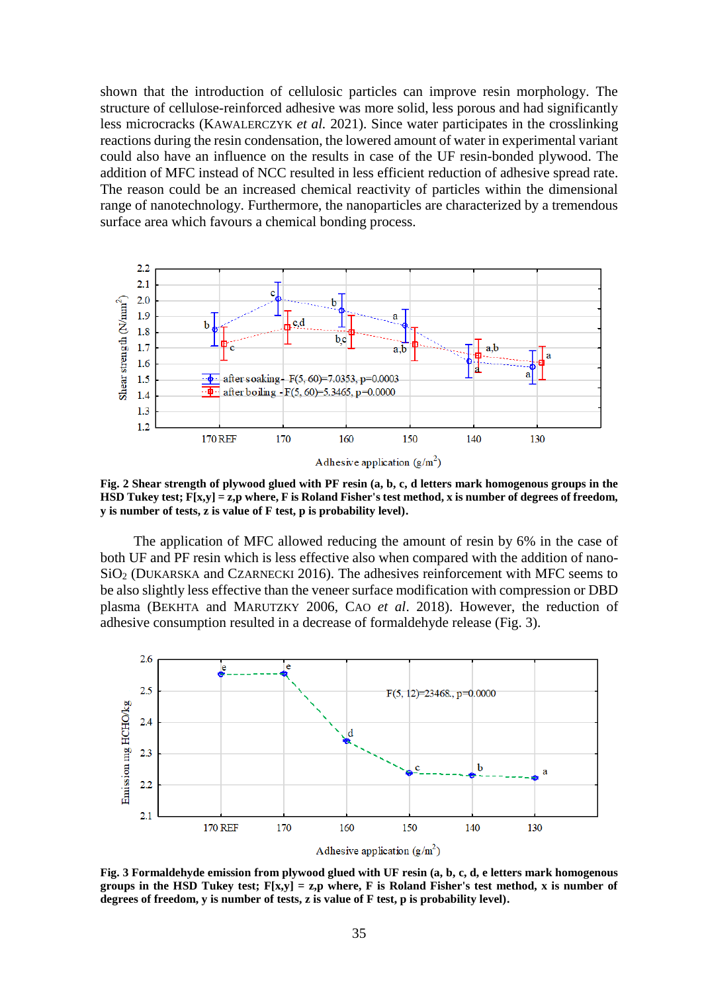shown that the introduction of cellulosic particles can improve resin morphology. The structure of cellulose-reinforced adhesive was more solid, less porous and had significantly less microcracks (KAWALERCZYK *et al.* 2021). Since water participates in the crosslinking reactions during the resin condensation, the lowered amount of water in experimental variant could also have an influence on the results in case of the UF resin-bonded plywood. The addition of MFC instead of NCC resulted in less efficient reduction of adhesive spread rate. The reason could be an increased chemical reactivity of particles within the dimensional range of nanotechnology. Furthermore, the nanoparticles are characterized by a tremendous surface area which favours a chemical bonding process.



**Fig. 2 Shear strength of plywood glued with PF resin (a, b, c, d letters mark homogenous groups in the HSD Tukey test; F[x,y] = z,p where, F is Roland Fisher's test method, x is number of degrees of freedom, y is number of tests, z is value of F test, p is probability level).**

The application of MFC allowed reducing the amount of resin by 6% in the case of both UF and PF resin which is less effective also when compared with the addition of nano- $SiO<sub>2</sub>$  (DUKARSKA and CZARNECKI 2016). The adhesives reinforcement with MFC seems to be also slightly less effective than the veneer surface modification with compression or DBD plasma (BEKHTA and MARUTZKY 2006, CAO *et al*. 2018). However, the reduction of adhesive consumption resulted in a decrease of formaldehyde release (Fig. 3).



**Fig. 3 Formaldehyde emission from plywood glued with UF resin (a, b, c, d, e letters mark homogenous groups in the HSD Tukey test; F[x,y] = z,p where, F is Roland Fisher's test method, x is number of degrees of freedom, y is number of tests, z is value of F test, p is probability level).**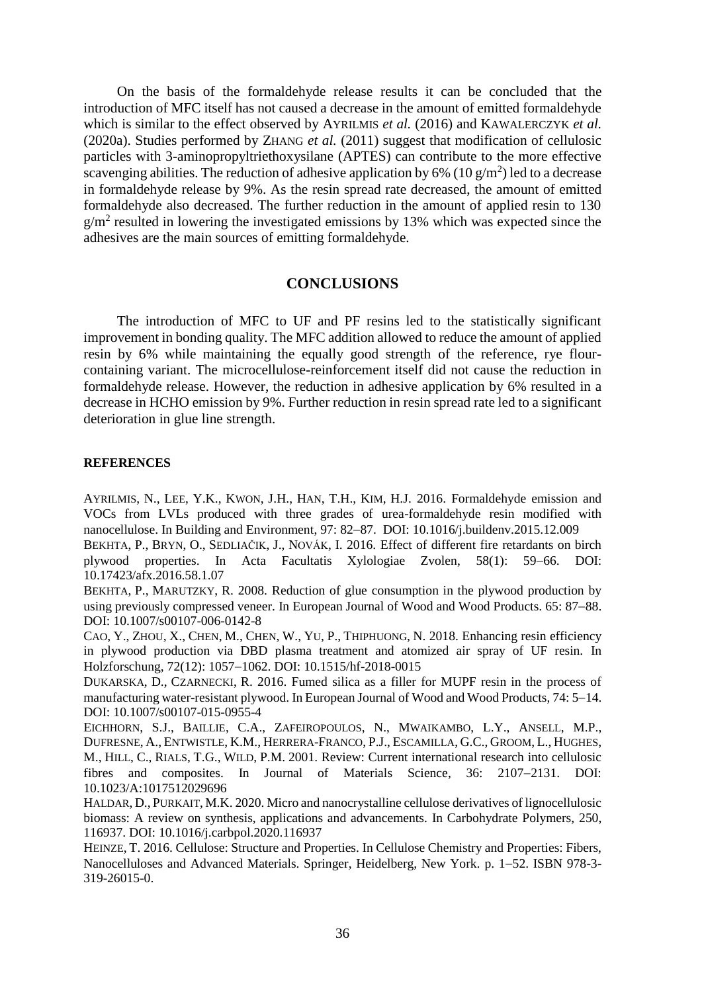On the basis of the formaldehyde release results it can be concluded that the introduction of MFC itself has not caused a decrease in the amount of emitted formaldehyde which is similar to the effect observed by AYRILMIS *et al.* (2016) and KAWALERCZYK *et al.* (2020a). Studies performed by ZHANG *et al.* (2011) suggest that modification of cellulosic particles with 3-aminopropyltriethoxysilane (APTES) can contribute to the more effective scavenging abilities. The reduction of adhesive application by 6% (10  $\frac{g}{m^2}$ ) led to a decrease in formaldehyde release by 9%. As the resin spread rate decreased, the amount of emitted formaldehyde also decreased. The further reduction in the amount of applied resin to 130  $g/m^2$  resulted in lowering the investigated emissions by 13% which was expected since the adhesives are the main sources of emitting formaldehyde.

## **CONCLUSIONS**

The introduction of MFC to UF and PF resins led to the statistically significant improvement in bonding quality. The MFC addition allowed to reduce the amount of applied resin by 6% while maintaining the equally good strength of the reference, rye flourcontaining variant. The microcellulose-reinforcement itself did not cause the reduction in formaldehyde release. However, the reduction in adhesive application by 6% resulted in a decrease in HCHO emission by 9%. Further reduction in resin spread rate led to a significant deterioration in glue line strength.

### **REFERENCES**

AYRILMIS, N., LEE, Y.K., KWON, J.H., HAN, T.H., KIM, H.J. 2016. Formaldehyde emission and VOCs from LVLs produced with three grades of urea-formaldehyde resin modified with nanocellulose. In Building and Environment, 97: 82–87. DOI: 10.1016/j.buildenv.2015.12.009

BEKHTA, P., BRYN, O., SEDLIAČIK, J., NOVÁK, I. 2016. Effect of different fire retardants on birch plywood properties. In Acta Facultatis Xylologiae Zvolen, 58(1): 59–66. DOI: 10.17423/afx.2016.58.1.07

BEKHTA, P., MARUTZKY, R. 2008. Reduction of glue consumption in the plywood production by using previously compressed veneer. In European Journal of Wood and Wood Products. 65: 87–88. DOI: 10.1007/s00107-006-0142-8

CAO, Y., ZHOU, X., CHEN, M., CHEN, W., YU, P., THIPHUONG, N. 2018. Enhancing resin efficiency in plywood production via DBD plasma treatment and atomized air spray of UF resin. In Holzforschung, 72(12): 1057–1062. DOI: 10.1515/hf-2018-0015

DUKARSKA, D., CZARNECKI, R. 2016. Fumed silica as a filler for MUPF resin in the process of manufacturing water-resistant plywood. In European Journal of Wood and Wood Products, 74: 5–14. DOI: 10.1007/s00107-015-0955-4

EICHHORN, S.J., BAILLIE, C.A., ZAFEIROPOULOS, N., MWAIKAMBO, L.Y., ANSELL, M.P., DUFRESNE, A., ENTWISTLE, K.M., HERRERA-FRANCO, P.J., ESCAMILLA, G.C., GROOM, L., HUGHES, M., HILL, C., RIALS, T.G., WILD, P.M. 2001. Review: Current international research into cellulosic fibres and composites. In Journal of Materials Science, 36: 2107-2131. DOI: 10.1023/A:1017512029696

HALDAR, D., PURKAIT, M.K. 2020. Micro and nanocrystalline cellulose derivatives of lignocellulosic biomass: A review on synthesis, applications and advancements. In Carbohydrate Polymers, 250, 116937. DOI: 10.1016/j.carbpol.2020.116937

HEINZE, T. 2016. Cellulose: Structure and Properties. In Cellulose Chemistry and Properties: Fibers, Nanocelluloses and Advanced Materials. Springer, Heidelberg, New York. p. 1–52. ISBN 978-3-319-26015-0.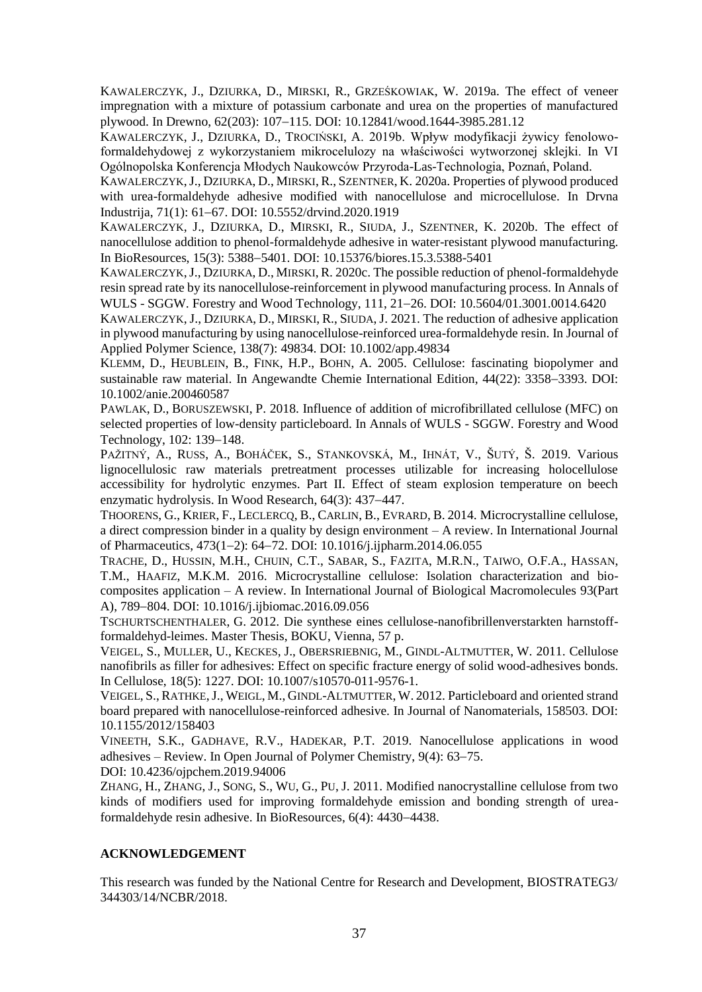KAWALERCZYK, J., DZIURKA, D., MIRSKI, R., GRZEŚKOWIAK, W. 2019a. The effect of veneer impregnation with a mixture of potassium carbonate and urea on the properties of manufactured plywood. In Drewno, 62(203): 107-115. DOI: 10.12841/wood.1644-3985.281.12

KAWALERCZYK, J., DZIURKA, D., TROCIŃSKI, A. 2019b. Wpływ modyfikacji żywicy fenolowoformaldehydowej z wykorzystaniem mikrocelulozy na właściwości wytworzonej sklejki. In VI Ogólnopolska Konferencja Młodych Naukowców Przyroda-Las-Technologia, Poznań, Poland.

KAWALERCZYK,J., DZIURKA, D., MIRSKI, R., SZENTNER, K. 2020a. Properties of plywood produced with urea-formaldehyde adhesive modified with nanocellulose and microcellulose. In Drvna Industrija, 71(1): 61–67. DOI: 10.5552/drvind.2020.1919

KAWALERCZYK, J., DZIURKA, D., MIRSKI, R., SIUDA, J., SZENTNER, K. 2020b. The effect of nanocellulose addition to phenol-formaldehyde adhesive in water-resistant plywood manufacturing. In BioResources, 15(3): 5388–5401. DOI: 10.15376/biores.15.3.5388-5401

KAWALERCZYK,J., DZIURKA, D., MIRSKI, R. 2020c. The possible reduction of phenol-formaldehyde resin spread rate by its nanocellulose-reinforcement in plywood manufacturing process. In Annals of WULS - SGGW. Forestry and Wood Technology, 111, 21–26. DOI: 10.5604/01.3001.0014.6420

KAWALERCZYK, J., DZIURKA, D., MIRSKI, R., SIUDA, J. 2021. The reduction of adhesive application in plywood manufacturing by using nanocellulose-reinforced urea-formaldehyde resin. In Journal of Applied Polymer Science, 138(7): 49834. DOI: 10.1002/app.49834

KLEMM, D., HEUBLEIN, B., FINK, H.P., BOHN, A. 2005. Cellulose: fascinating biopolymer and sustainable raw material. In Angewandte Chemie International Edition, 44(22): 3358–3393. DOI: 10.1002/anie.200460587

PAWLAK, D., BORUSZEWSKI, P. 2018. Influence of addition of microfibrillated cellulose (MFC) on selected properties of low-density particleboard. In Annals of WULS - SGGW. Forestry and Wood Technology, 102: 139-148.

PAŽITNÝ, A., RUSS, A., BOHÁČEK, S., STANKOVSKÁ, M., IHNÁT, V., ŠUTÝ, Š. 2019. Various lignocellulosic raw materials pretreatment processes utilizable for increasing holocellulose accessibility for hydrolytic enzymes. Part II. Effect of steam explosion temperature on beech enzymatic hydrolysis. In Wood Research,  $64(3)$ :  $437-447$ .

THOORENS, G., KRIER, F., LECLERCQ, B., CARLIN, B., EVRARD, B. 2014. Microcrystalline cellulose, a direct compression binder in a quality by design environment – A review. In International Journal of Pharmaceutics, 473(12): 6472. DOI: 10.1016/j.ijpharm.2014.06.055

TRACHE, D., HUSSIN, M.H., CHUIN, C.T., SABAR, S., FAZITA, M.R.N., TAIWO, O.F.A., HASSAN, T.M., HAAFIZ, M.K.M. 2016. Microcrystalline cellulose: Isolation characterization and biocomposites application – A review. In International Journal of Biological Macromolecules 93(Part A), 789-804. DOI: 10.1016/j.ijbiomac.2016.09.056

TSCHURTSCHENTHALER, G. 2012. Die synthese eines cellulose-nanofibrillenverstarkten harnstoffformaldehyd-leimes. Master Thesis, BOKU, Vienna, 57 p.

VEIGEL, S., MULLER, U., KECKES, J., OBERSRIEBNIG, M., GINDL-ALTMUTTER, W. 2011. Cellulose nanofibrils as filler for adhesives: Effect on specific fracture energy of solid wood-adhesives bonds. In Cellulose, 18(5): 1227. DOI: 10.1007/s10570-011-9576-1.

VEIGEL, S., RATHKE,J., WEIGL, M., GINDL-ALTMUTTER, W. 2012. Particleboard and oriented strand board prepared with nanocellulose-reinforced adhesive. In Journal of Nanomaterials, 158503. DOI: 10.1155/2012/158403

VINEETH, S.K., GADHAVE, R.V., HADEKAR, P.T. 2019. Nanocellulose applications in wood adhesives – Review. In Open Journal of Polymer Chemistry,  $9(4)$ : 63–75.

DOI: 10.4236/ojpchem.2019.94006

ZHANG, H., ZHANG, J., SONG, S., WU, G., PU, J. 2011. Modified nanocrystalline cellulose from two kinds of modifiers used for improving formaldehyde emission and bonding strength of ureaformaldehyde resin adhesive. In BioResources,  $6(4)$ :  $4430-4438$ .

## **ACKNOWLEDGEMENT**

This research was funded by the National Centre for Research and Development, BIOSTRATEG3/ 344303/14/NCBR/2018.